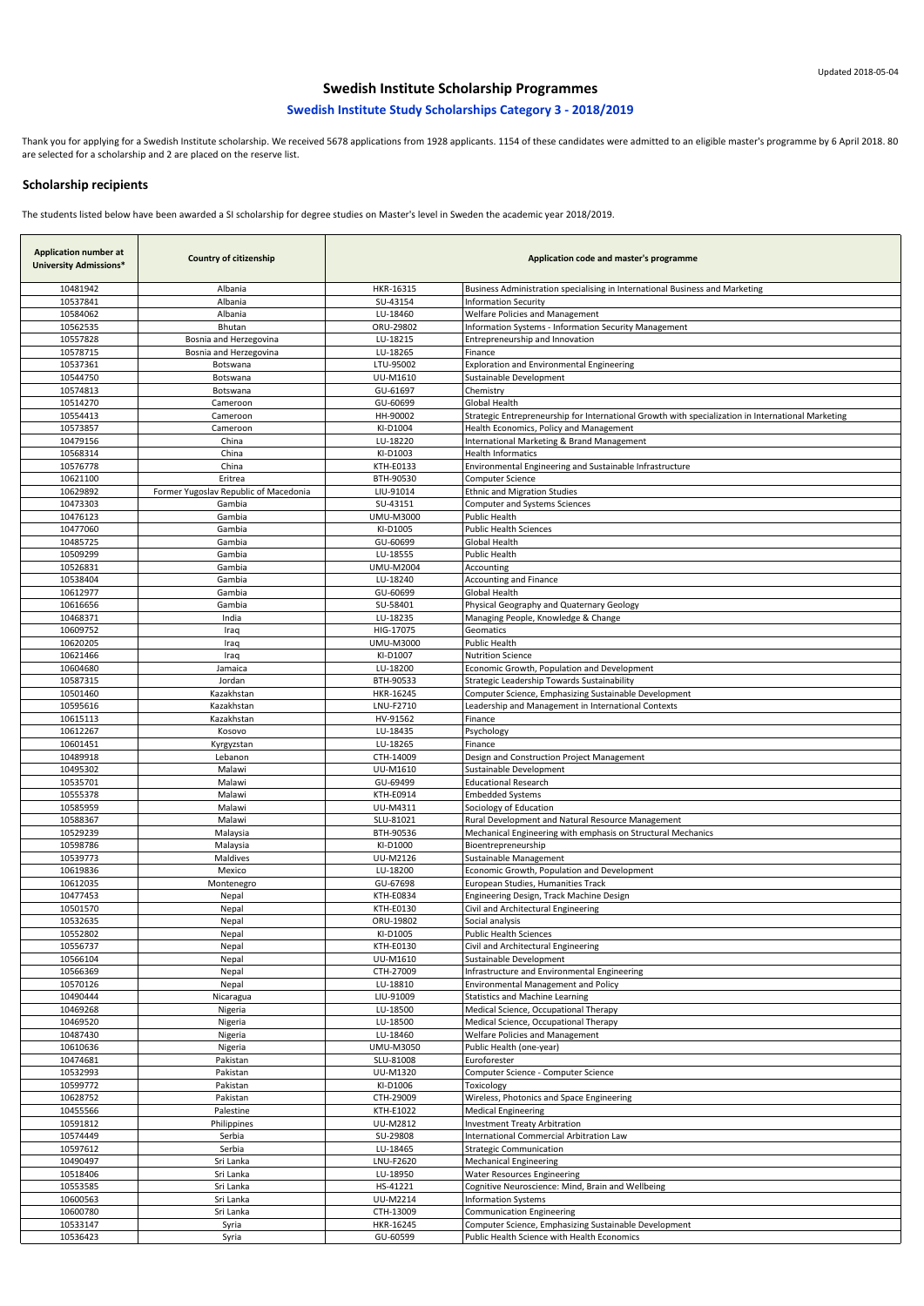| <b>Application number at</b><br><b>University Admissions*</b> | <b>Country of citizenship</b>         | Application code and master's programme |                                                                                                    |
|---------------------------------------------------------------|---------------------------------------|-----------------------------------------|----------------------------------------------------------------------------------------------------|
| 10481942                                                      | Albania                               | HKR-16315                               | Business Administration specialising in International Business and Marketing                       |
| 10537841                                                      | Albania                               | SU-43154                                | <b>Information Security</b>                                                                        |
| 10584062                                                      | Albania                               | LU-18460                                | <b>Welfare Policies and Management</b>                                                             |
| 10562535                                                      | <b>Bhutan</b>                         | ORU-29802                               | Information Systems - Information Security Management                                              |
| 10557828                                                      | Bosnia and Herzegovina                | LU-18215                                | Entrepreneurship and Innovation                                                                    |
| 10578715                                                      | Bosnia and Herzegovina                | LU-18265                                | Finance                                                                                            |
| 10537361                                                      | <b>Botswana</b>                       | LTU-95002                               | <b>Exploration and Environmental Engineering</b>                                                   |
| 10544750                                                      | Botswana                              | UU-M1610                                | Sustainable Development                                                                            |
| 10574813                                                      | Botswana                              | GU-61697                                |                                                                                                    |
| 10514270                                                      |                                       | GU-60699                                | Chemistry<br><b>Global Health</b>                                                                  |
| 10554413                                                      | Cameroon                              | HH-90002                                |                                                                                                    |
|                                                               | Cameroon                              |                                         | Strategic Entrepreneurship for International Growth with specialization in International Marketing |
| 10573857                                                      | Cameroon                              | KI-D1004                                | Health Economics, Policy and Management                                                            |
| 10479156                                                      | China                                 | LU-18220                                | International Marketing & Brand Management                                                         |
| 10568314                                                      | China                                 | KI-D1003                                | <b>Health Informatics</b>                                                                          |
| 10576778                                                      | China                                 | KTH-E0133                               | Environmental Engineering and Sustainable Infrastructure                                           |
| 10621100                                                      | Eritrea                               | BTH-90530                               | <b>Computer Science</b>                                                                            |
| 10629892                                                      | Former Yugoslav Republic of Macedonia | LIU-91014                               | <b>Ethnic and Migration Studies</b>                                                                |
| 10473303                                                      | Gambia                                | SU-43151                                | <b>Computer and Systems Sciences</b>                                                               |
| 10476123                                                      | Gambia                                | <b>UMU-M3000</b>                        | Public Health                                                                                      |
| 10477060                                                      | Gambia                                | KI-D1005                                | <b>Public Health Sciences</b>                                                                      |
| 10485725                                                      | Gambia                                | GU-60699                                | <b>Global Health</b>                                                                               |
| 10509299                                                      | Gambia                                | LU-18555                                | Public Health                                                                                      |
| 10526831                                                      | Gambia                                | <b>UMU-M2004</b>                        | Accounting                                                                                         |
| 10538404                                                      | Gambia                                | LU-18240                                | Accounting and Finance                                                                             |
| 10612977                                                      | Gambia                                | GU-60699                                | <b>Global Health</b>                                                                               |
| 10616656                                                      | Gambia                                | SU-58401                                | Physical Geography and Quaternary Geology                                                          |
| 10468371                                                      | India                                 | LU-18235                                | Managing People, Knowledge & Change                                                                |
| 10609752                                                      | Iraq                                  | HIG-17075                               | Geomatics                                                                                          |
| 10620205                                                      | Iraq                                  | <b>UMU-M3000</b>                        | Public Health                                                                                      |
| 10621466                                                      | Iraq                                  | KI-D1007                                | <b>Nutrition Science</b>                                                                           |
| 10604680                                                      | Jamaica                               | LU-18200                                | Economic Growth, Population and Development                                                        |
| 10587315                                                      | Jordan                                | BTH-90533                               | Strategic Leadership Towards Sustainability                                                        |
| 10501460                                                      | Kazakhstan                            | HKR-16245                               | Computer Science, Emphasizing Sustainable Development                                              |
| 10595616                                                      | Kazakhstan                            | LNU-F2710                               | Leadership and Management in International Contexts                                                |
| 10615113                                                      | Kazakhstan                            | HV-91562                                | Finance                                                                                            |
| 10612267                                                      | Kosovo                                | LU-18435                                | Psychology                                                                                         |
| 10601451                                                      | Kyrgyzstan                            | LU-18265                                | Finance                                                                                            |
| 10489918                                                      | Lebanon                               | CTH-14009                               | Design and Construction Project Management                                                         |
| 10495302                                                      | Malawi                                | UU-M1610                                | Sustainable Development                                                                            |
| 10535701                                                      | Malawi                                | GU-69499                                | <b>Educational Research</b>                                                                        |
| 10555378                                                      | Malawi                                | KTH-E0914                               | <b>Embedded Systems</b>                                                                            |
| 10585959                                                      | Malawi                                | UU-M4311                                | Sociology of Education                                                                             |
| 10588367                                                      | Malawi                                | SLU-81021                               | Rural Development and Natural Resource Management                                                  |
| 10529239                                                      | Malaysia                              | BTH-90536                               | Mechanical Engineering with emphasis on Structural Mechanics                                       |
| 10598786                                                      | Malaysia                              | KI-D1000                                | Bioentrepreneurship                                                                                |
| 10539773                                                      | Maldives                              | UU-M2126                                | Sustainable Management                                                                             |
| 10619836                                                      | Mexico                                | LU-18200                                | Economic Growth, Population and Development                                                        |
| 10612035                                                      | Montenegro                            | GU-67698                                | European Studies, Humanities Track                                                                 |
| 10477453                                                      | <b>Nepal</b>                          | KTH-E0834                               | Engineering Design, Track Machine Design                                                           |
| 10501570                                                      | <b>Nepal</b>                          | KTH-E0130                               | Civil and Architectural Engineering                                                                |
| 10532635                                                      | Nepal                                 | ORU-19802                               | Social analysis                                                                                    |
| 10552802                                                      | Nepal                                 | KI-D1005                                | <b>Public Health Sciences</b>                                                                      |
| 10556737                                                      | Nepal                                 | KTH-E0130                               | Civil and Architectural Engineering                                                                |
| 10566104                                                      | Nepal                                 | UU-M1610                                | Sustainable Development                                                                            |
| 10566369                                                      | Nepal                                 | CTH-27009                               | Infrastructure and Environmental Engineering                                                       |
| 10570126                                                      | Nepal                                 | LU-18810                                | <b>Environmental Management and Policy</b>                                                         |
| 10490444                                                      | Nicaragua                             | LIU-91009                               | <b>Statistics and Machine Learning</b>                                                             |
| 10469268                                                      | Nigeria                               | LU-18500                                | Medical Science, Occupational Therapy                                                              |
| 10469520                                                      | Nigeria                               | LU-18500                                | Medical Science, Occupational Therapy                                                              |
| 10487430                                                      | Nigeria                               | LU-18460                                | <b>Welfare Policies and Management</b>                                                             |
| 10610636                                                      | Nigeria                               | <b>UMU-M3050</b>                        | Public Health (one-year)                                                                           |
| 10474681                                                      | Pakistan                              | SLU-81008                               | Euroforester                                                                                       |
| 10532993                                                      | Pakistan                              | UU-M1320                                | Computer Science - Computer Science                                                                |
| 10599772                                                      | Pakistan                              | KI-D1006                                | Toxicology                                                                                         |
| 10628752                                                      | Pakistan                              | CTH-29009                               | Wireless, Photonics and Space Engineering                                                          |
| 10455566                                                      | Palestine                             | KTH-E1022                               | <b>Medical Engineering</b>                                                                         |
| 10591812                                                      | Philippines                           | <b>UU-M2812</b>                         | <b>Investment Treaty Arbitration</b>                                                               |
| 10574449                                                      | Serbia                                | SU-29808                                | International Commercial Arbitration Law                                                           |
| 10597612                                                      | Serbia                                | LU-18465                                | <b>Strategic Communication</b>                                                                     |
| 10490497                                                      | Sri Lanka                             | LNU-F2620                               | <b>Mechanical Engineering</b>                                                                      |
| 10518406                                                      | Sri Lanka                             | LU-18950                                | <b>Water Resources Engineering</b>                                                                 |
| 10553585                                                      | Sri Lanka                             | HS-41221                                | Cognitive Neuroscience: Mind, Brain and Wellbeing                                                  |
| 10600563                                                      | Sri Lanka                             | <b>UU-M2214</b>                         | <b>Information Systems</b>                                                                         |
| 10600780                                                      | Sri Lanka                             | CTH-13009                               | <b>Communication Engineering</b>                                                                   |
| 10533147                                                      | Syria                                 | HKR-16245                               | Computer Science, Emphasizing Sustainable Development                                              |
| 10536423                                                      | Syria                                 | GU-60599                                | Public Health Science with Health Economics                                                        |

Thank you for applying for a Swedish Institute scholarship. We received 5678 applications from 1928 applicants. 1154 of these candidates were admitted to an eligible master's programme by 6 April 2018. 80 are selected for a scholarship and 2 are placed on the reserve list.

# **Swedish Institute Scholarship Programmes**

# **Swedish Institute Study Scholarships Category 3 - 2018/2019**

### **Scholarship recipients**

The students listed below have been awarded a SI scholarship for degree studies on Master's level in Sweden the academic year 2018/2019.